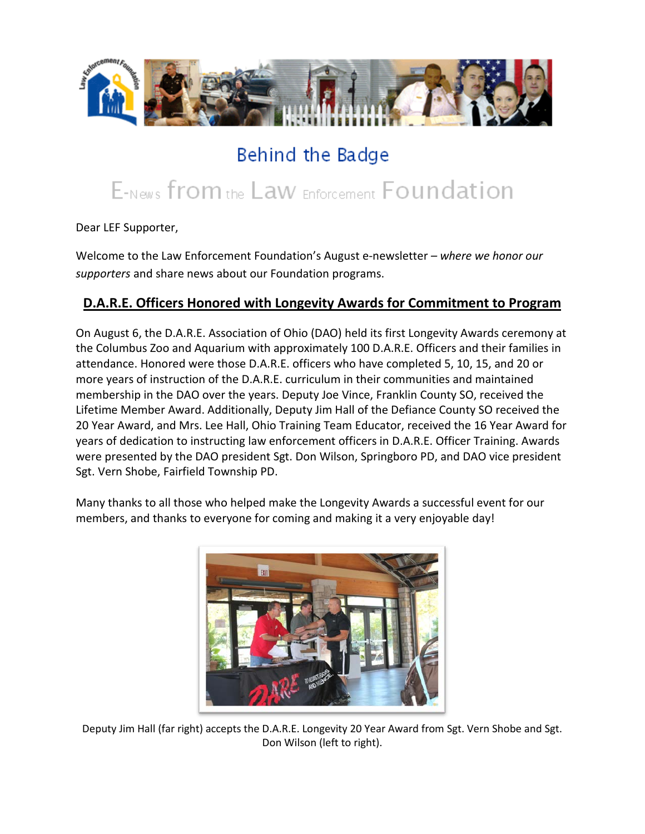

## Behind the Badge

# E-News from the Law Enforcement Foundation

Dear LEF Supporter,

Welcome to the Law Enforcement Foundation's August e-newsletter *– where we honor our supporters* and share news about our Foundation programs.

#### **D.A.R.E. Officers Honored with Longevity Awards for Commitment to Program**

On August 6, the D.A.R.E. Association of Ohio (DAO) held its first Longevity Awards ceremony at the Columbus Zoo and Aquarium with approximately 100 D.A.R.E. Officers and their families in attendance. Honored were those D.A.R.E. officers who have completed 5, 10, 15, and 20 or more years of instruction of the D.A.R.E. curriculum in their communities and maintained membership in the DAO over the years. Deputy Joe Vince, Franklin County SO, received the Lifetime Member Award. Additionally, Deputy Jim Hall of the Defiance County SO received the 20 Year Award, and Mrs. Lee Hall, Ohio Training Team Educator, received the 16 Year Award for years of dedication to instructing law enforcement officers in D.A.R.E. Officer Training. Awards were presented by the DAO president Sgt. Don Wilson, Springboro PD, and DAO vice president Sgt. Vern Shobe, Fairfield Township PD.

Many thanks to all those who helped make the Longevity Awards a successful event for our members, and thanks to everyone for coming and making it a very enjoyable day!



Deputy Jim Hall (far right) accepts the D.A.R.E. Longevity 20 Year Award from Sgt. Vern Shobe and Sgt. Don Wilson (left to right).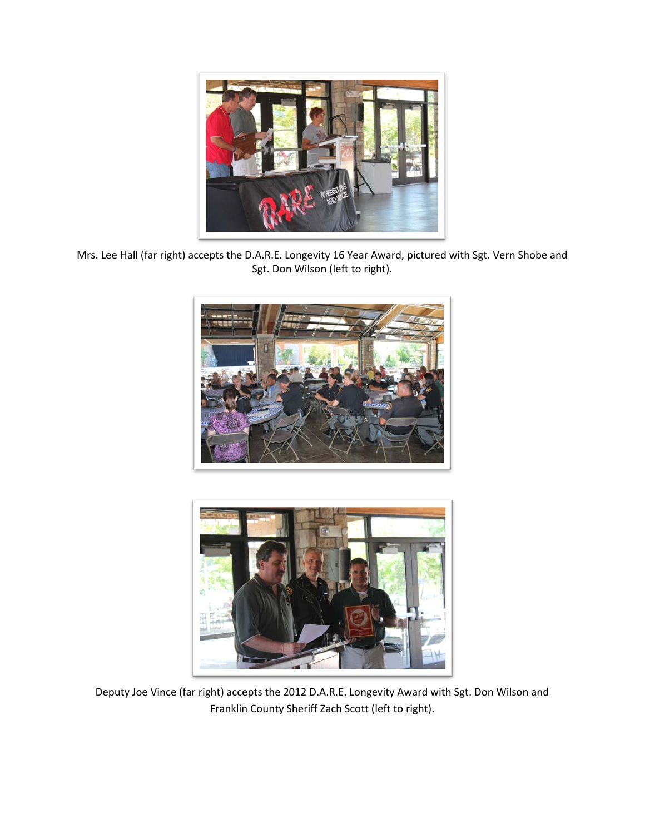

Mrs. Lee Hall (far right) accepts the D.A.R.E. Longevity 16 Year Award, pictured with Sgt. Vern Shobe and Sgt. Don Wilson (left to right).





Deputy Joe Vince (far right) accepts the 2012 D.A.R.E. Longevity Award with Sgt. Don Wilson and Franklin County Sheriff Zach Scott (left to right).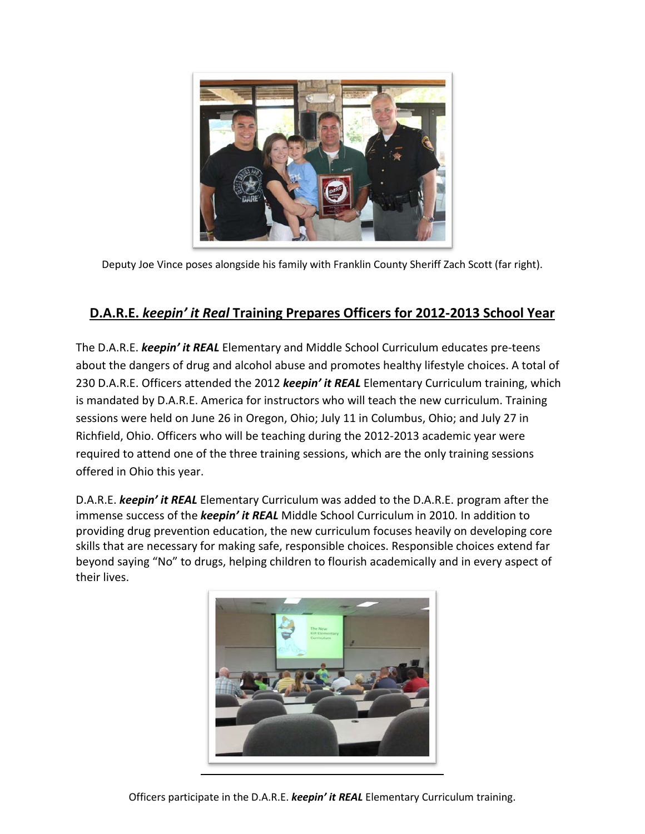

Deputy Joe Vince poses alongside his family with Franklin County Sheriff Zach Scott (far right).

#### **D.A.R.E.** *keepin' it Real* **Training Prepares Officers for 2012-2013 School Year**

The D.A.R.E. *keepin' it REAL* Elementary and Middle School Curriculum educates pre-teens about the dangers of drug and alcohol abuse and promotes healthy lifestyle choices. A total of 230 D.A.R.E. Officers attended the 2012 *keepin' it REAL* Elementary Curriculum training, which is mandated by D.A.R.E. America for instructors who will teach the new curriculum. Training sessions were held on June 26 in Oregon, Ohio; July 11 in Columbus, Ohio; and July 27 in Richfield, Ohio. Officers who will be teaching during the 2012-2013 academic year were required to attend one of the three training sessions, which are the only training sessions offered in Ohio this year.

D.A.R.E. *keepin' it REAL* Elementary Curriculum was added to the D.A.R.E. program after the immense success of the *keepin' it REAL* Middle School Curriculum in 2010. In addition to providing drug prevention education, the new curriculum focuses heavily on developing core skills that are necessary for making safe, responsible choices. Responsible choices extend far beyond saying "No" to drugs, helping children to flourish academically and in every aspect of their lives.